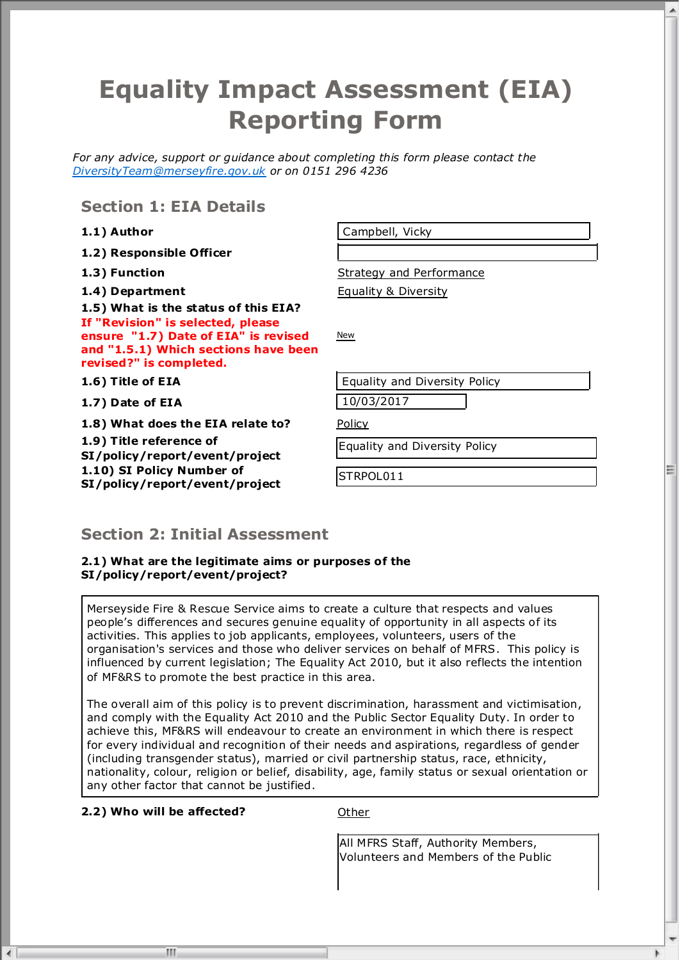# **Equality Impact Assessment (EIA) Reporting Form**

For any advice, support or guidance about completing this form please contact the *DiversityTeam@merseyfire.gov.uk or on 0151 296 4236*

**Section 1: EIA Details**

- **1.2) Responsible Officer**
- 

**1.5) What is the status of this EIA? If "Revision" is selected, please ensure "1.7) Date of EIA" is revised and "1.5.1) Which sections have been revised?" is completed.**

**1.7) Date of EIA** 10/03/2017

**1.8) What does the EIA relate to?** Policy **1.9) Title reference of SI/policy/report/event/project 1.10) SI Policy Number of SI/policy/report/event/project** STRPOL011

**1.1) Author** Campbell, Vicky

**1.3) Function 1.3) Function Strategy and Performance** 

**1.4) Department** Equality & Diversity

**New** 

**1.6) Title of EIA Example 2** Equality and Diversity Policy

Equality and Diversity Policy

# **Section 2: Initial Assessment**

**2.1) What are the legitimate aims or purposes of the SI/policy/report/event/project?**

Merseyside Fire & Rescue Service aims to create a culture that respects and values people's differences and secures genuine equality of opportunity in all aspects of its activities. This applies to job applicants, employees, volunteers, users of the organisation's services and those who deliver services on behalf of MFRS. This policy is influenced by current legislation; The Equality Act 2010, but it also reflects the intention of MF&RS to promote the best practice in this area.

The overall aim of this policy is to prevent discrimination, harassment and victimisation, and comply with the Equality Act 2010 and the Public Sector Equality Duty. In order to achieve this, MF&RS will endeavour to create an environment in which there is respect for every individual and recognition of their needs and aspirations, regardless of gender (including transgender status), married or civil partnership status, race, ethnicity, nationality, colour, religion or belief, disability, age, family status or sexual orientation or any other factor that cannot be justified.

#### **2.2) Who will be affected?** Other

m

 $\leftarrow$ 

All MFRS Staff, Authority Members, Volunteers and Members of the Public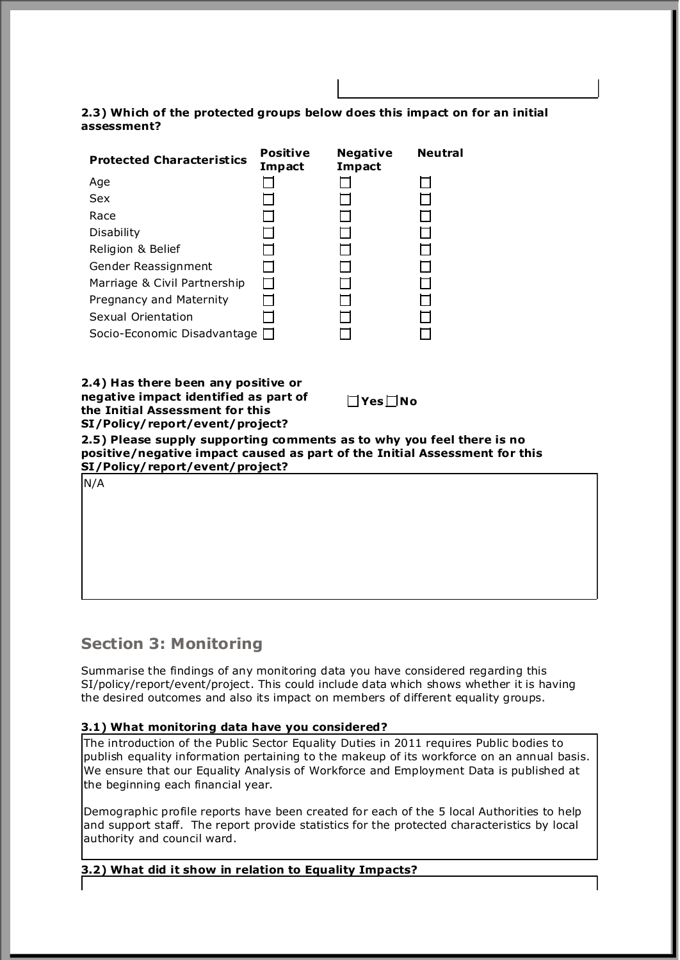#### **2.3) Which of the protected groups below does this impact on for an initial assessment?**

| <b>Protected Characteristics</b>                                                                                                                                                                                                                                                                                                             | <b>Positive</b><br><b>Impact</b> | <b>Negative</b><br><b>Impact</b> | <b>Neutral</b> |
|----------------------------------------------------------------------------------------------------------------------------------------------------------------------------------------------------------------------------------------------------------------------------------------------------------------------------------------------|----------------------------------|----------------------------------|----------------|
| Age                                                                                                                                                                                                                                                                                                                                          |                                  |                                  |                |
| Sex                                                                                                                                                                                                                                                                                                                                          |                                  |                                  |                |
| Race                                                                                                                                                                                                                                                                                                                                         |                                  |                                  |                |
| Disability                                                                                                                                                                                                                                                                                                                                   |                                  |                                  |                |
| Religion & Belief                                                                                                                                                                                                                                                                                                                            |                                  |                                  |                |
| Gender Reassignment                                                                                                                                                                                                                                                                                                                          |                                  |                                  |                |
| Marriage & Civil Partnership                                                                                                                                                                                                                                                                                                                 |                                  |                                  |                |
| Pregnancy and Maternity                                                                                                                                                                                                                                                                                                                      |                                  |                                  |                |
| Sexual Orientation                                                                                                                                                                                                                                                                                                                           |                                  |                                  |                |
| Socio-Economic Disadvantage [                                                                                                                                                                                                                                                                                                                |                                  |                                  |                |
| 2.4) Has there been any positive or<br>negative impact identified as part of<br>the Initial Assessment for this<br>SI/Policy/report/event/project?<br>2.5) Please supply supporting comments as to why you feel there is no<br>positive/negative impact caused as part of the Initial Assessment for this<br>SI/Policy/report/event/project? |                                  | $\square$ Yes $\square$ No       |                |
| N/A                                                                                                                                                                                                                                                                                                                                          |                                  |                                  |                |

# **Section 3: Monitoring**

Summarise the findings of any monitoring data you have considered regarding this SI/policy/report/event/project. This could include data which shows whether it is having the desired outcomes and also its impact on members of different equality groups.

#### **3.1) What monitoring data have you considered?**

The introduction of the Public Sector Equality Duties in 2011 requires Public bodies to publish equality information pertaining to the makeup of its workforce on an annual basis. We ensure that our Equality Analysis of Workforce and Employment Data is published at the beginning each financial year.

Demographic profile reports have been created for each of the 5 local Authorities to help and support staff. The report provide statistics for the protected characteristics by local authority and council ward.

#### **3.2) What did it show in relation to Equality Impacts?**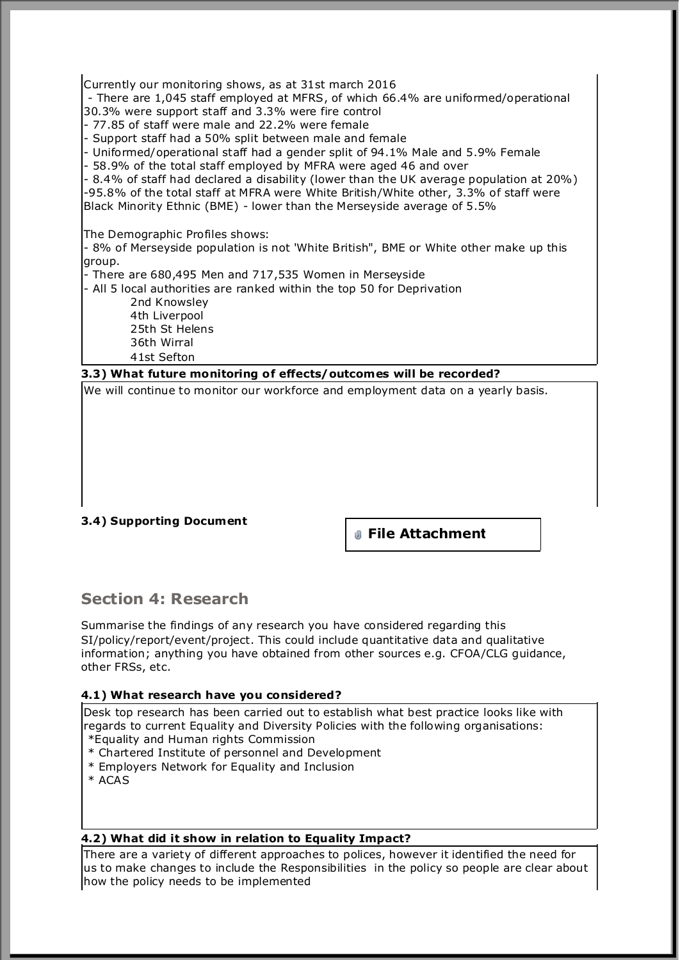Currently our monitoring shows, as at 31st march 2016

- There are 1,045 staff employed at MFRS, of which 66.4% are uniformed/operational 30.3% were support staff and 3.3% were fire control

- 77.85 of staff were male and 22.2% were female

- Support staff had a 50% split between male and female

- Uniformed/operational staff had a gender split of 94.1% Male and 5.9% Female

- 58.9% of the total staff employed by MFRA were aged 46 and over

- 8.4% of staff had declared a disability (lower than the UK average population at 20%) -95.8% of the total staff at MFRA were White British/White other, 3.3% of staff were Black Minority Ethnic (BME) - lower than the Merseyside average of 5.5%

The Demographic Profiles shows:

- 8% of Merseyside population is not 'White British", BME or White other make up this group.

- There are 680,495 Men and 717,535 Women in Merseyside

- All 5 local authorities are ranked within the top 50 for Deprivation 2nd Knowsley 4th Liverpool 25th St Helens

 36th Wirral 41st Sefton

**3.3) What future monitoring of effects/outcomes will be recorded?** 

We will continue to monitor our workforce and employment data on a yearly basis.

#### **3.4) Supporting Document**

**File Attachment**

# **Section 4: Research**

Summarise the findings of any research you have considered regarding this SI/policy/report/event/project. This could include quantitative data and qualitative information; anything you have obtained from other sources e.g. CFOA/CLG guidance, other FRSs, etc.

#### **4.1) What research have you considered?**

Desk top research has been carried out to establish what best practice looks like with regards to current Equality and Diversity Policies with the following organisations: \*Equality and Human rights Commission

\* Chartered Institute of personnel and Development

\* Employers Network for Equality and Inclusion

\* ACAS

#### **4.2) What did it show in relation to Equality Impact?**

There are a variety of different approaches to polices, however it identified the need for  $\mu$ s to make changes to include the Responsibilities in the policy so people are clear about how the policy needs to be implemented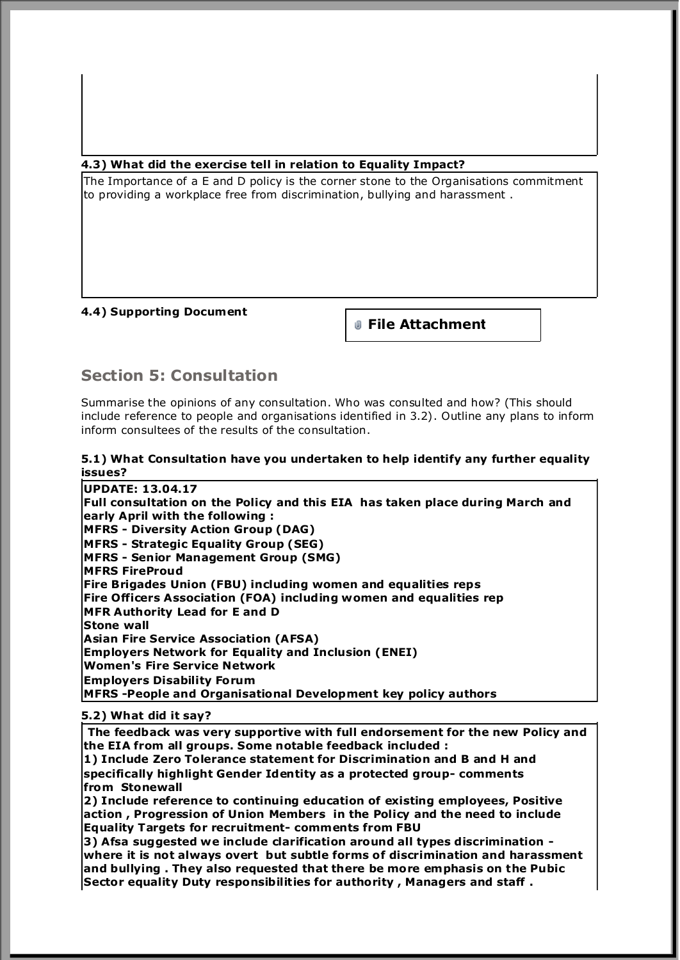#### **4.3) What did the exercise tell in relation to Equality Impact?**

The Importance of a E and D policy is the corner stone to the Organisations commitment to providing a workplace free from discrimination, bullying and harassment .

#### **4.4) Supporting Document**

**File Attachment**

# **Section 5: Consultation**

Summarise the opinions of any consultation. Who was consulted and how? (This should include reference to people and organisations identified in 3.2). Outline any plans to inform inform consultees of the results of the consultation.

#### **5.1) What Consultation have you undertaken to help identify any further equality issues?**

**UPDATE: 13.04.17 Full consultation on the Policy and this EIA has taken place during March and early April with the following : MFRS - Diversity Action Group (DAG) MFRS - Strategic Equality Group (SEG) MFRS - Senior Management Group (SMG) MFRS FireProud Fire Brigades Union (FBU) including women and equalities reps Fire Officers Association (FOA) including women and equalities rep MFR Authority Lead for E and D Stone wall Asian Fire Service Association (AFSA) Employers Network for Equality and Inclusion (ENEI) Women's Fire Service Network Employers Disability Forum MFRS -People and Organisational Development key policy authors** 

#### **5.2) What did it say?**

 **The feedback was very supportive with full endorsement for the new Policy and the EIA from all groups. Some notable feedback included :**

**1) Include Zero Tolerance statement for Discrimination and B and H and specifically highlight Gender Identity as a protected group- comments from Stonewall** 

**2) Include reference to continuing education of existing employees, Positive action , Progression of Union Members in the Policy and the need to include Equality Targets for recruitment- comments from FBU** 

**3) Afsa suggested we include clarification around all types discrimination where it is not always overt but subtle forms of discrimination and harassment and bullying . They also requested that there be more emphasis on the Pubic Sector equality Duty responsibilities for authority , Managers and staff .**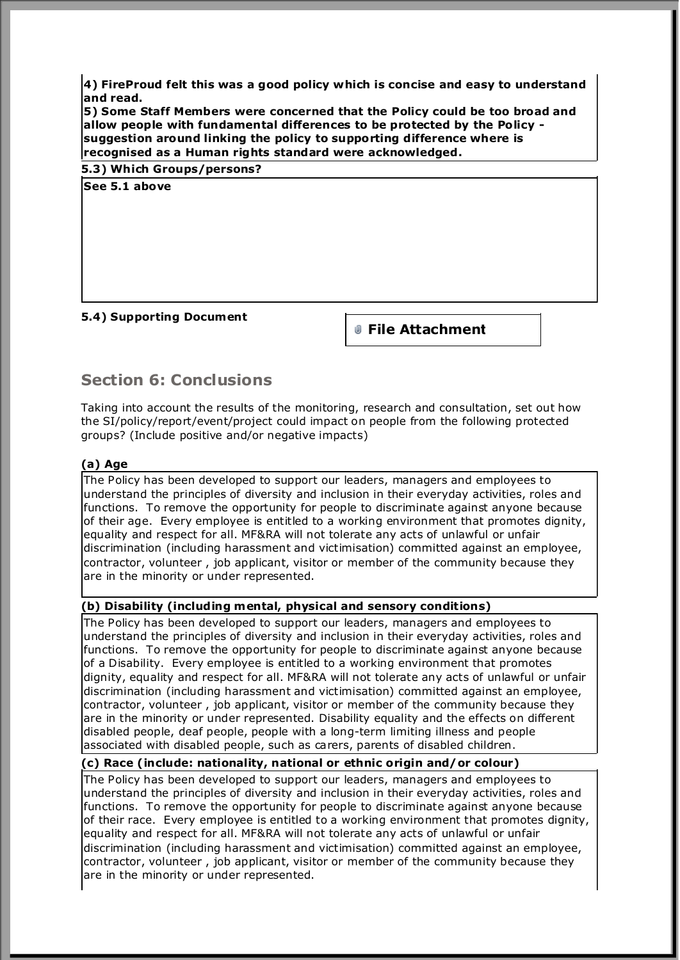**4) FireProud felt this was a good policy which is concise and easy to understand and read.**

**5) Some Staff Members were concerned that the Policy could be too broad and allow people with fundamental differences to be protected by the Policy suggestion around linking the policy to supporting difference where is recognised as a Human rights standard were acknowledged.** 

|               | 5.3) Which Groups/persons? |  |  |  |
|---------------|----------------------------|--|--|--|
| See 5.1 above |                            |  |  |  |

#### **5.4) Supporting Document**

**File Attachment**

# **Section 6: Conclusions**

Taking into account the results of the monitoring, research and consultation, set out how the SI/policy/report/event/project could impact on people from the following protected groups? (Include positive and/or negative impacts)

#### **(a) Age**

The Policy has been developed to support our leaders, managers and employees to understand the principles of diversity and inclusion in their everyday activities, roles and functions. To remove the opportunity for people to discriminate against anyone because of their age. Every employee is entitled to a working environment that promotes dignity, equality and respect for all. MF&RA will not tolerate any acts of unlawful or unfair discrimination (including harassment and victimisation) committed against an employee, contractor, volunteer , job applicant, visitor or member of the community because they are in the minority or under represented.

#### **(b) Disability (including mental, physical and sensory conditions)**

The Policy has been developed to support our leaders, managers and employees to understand the principles of diversity and inclusion in their everyday activities, roles and functions. To remove the opportunity for people to discriminate against anyone because of a Disability. Every employee is entitled to a working environment that promotes dignity, equality and respect for all. MF&RA will not tolerate any acts of unlawful or unfair discrimination (including harassment and victimisation) committed against an employee, contractor, volunteer , job applicant, visitor or member of the community because they are in the minority or under represented. Disability equality and the effects on different disabled people, deaf people, people with a long-term limiting illness and people associated with disabled people, such as carers, parents of disabled children.

#### **(c) Race (include: nationality, national or ethnic origin and/or colour)**

The Policy has been developed to support our leaders, managers and employees to understand the principles of diversity and inclusion in their everyday activities, roles and functions. To remove the opportunity for people to discriminate against anyone because of their race. Every employee is entitled to a working environment that promotes dignity, equality and respect for all. MF&RA will not tolerate any acts of unlawful or unfair discrimination (including harassment and victimisation) committed against an employee, contractor, volunteer , job applicant, visitor or member of the community because they are in the minority or under represented.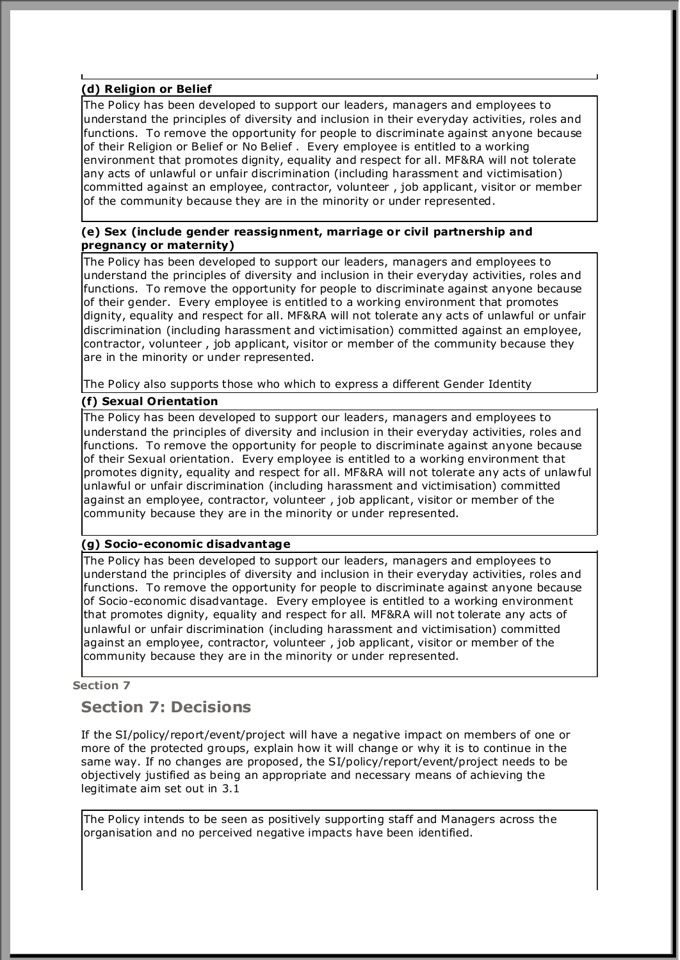#### **(d) Religion or Belief**

The Policy has been developed to support our leaders, managers and employees to understand the principles of diversity and inclusion in their everyday activities, roles and functions. To remove the opportunity for people to discriminate against anyone because of their Religion or Belief or No Belief . Every employee is entitled to a working environment that promotes dignity, equality and respect for all. MF&RA will not tolerate any acts of unlawful or unfair discrimination (including harassment and victimisation) committed against an employee, contractor, volunteer , job applicant, visitor or member of the community because they are in the minority or under represented.

#### **(e) Sex (include gender reassignment, marriage or civil partnership and pregnancy or maternity)**

The Policy has been developed to support our leaders, managers and employees to understand the principles of diversity and inclusion in their everyday activities, roles and functions. To remove the opportunity for people to discriminate against anyone because of their gender. Every employee is entitled to a working environment that promotes dignity, equality and respect for all. MF&RA will not tolerate any acts of unlawful or unfair discrimination (including harassment and victimisation) committed against an employee, contractor, volunteer , job applicant, visitor or member of the community because they are in the minority or under represented.

The Policy also supports those who which to express a different Gender Identity

#### **(f) Sexual Orientation**

The Policy has been developed to support our leaders, managers and employees to understand the principles of diversity and inclusion in their everyday activities, roles and functions. To remove the opportunity for people to discriminate against anyone because of their Sexual orientation. Every employee is entitled to a working environment that promotes dignity, equality and respect for all. MF&RA will not tolerate any acts of unlawful unlawful or unfair discrimination (including harassment and victimisation) committed against an employee, contractor, volunteer , job applicant, visitor or member of the community because they are in the minority or under represented.

#### **(g) Socio-economic disadvantage**

The Policy has been developed to support our leaders, managers and employees to understand the principles of diversity and inclusion in their everyday activities, roles and functions. To remove the opportunity for people to discriminate against anyone because of Socio-economic disadvantage. Every employee is entitled to a working environment that promotes dignity, equality and respect for all. MF&RA will not tolerate any acts of unlawful or unfair discrimination (including harassment and victimisation) committed against an employee, contractor, volunteer , job applicant, visitor or member of the community because they are in the minority or under represented.

#### **Section 7**

# **Section 7: Decisions**

If the SI/policy/report/event/project will have a negative impact on members of one or more of the protected groups, explain how it will change or why it is to continue in the same way. If no changes are proposed, the SI/policy/report/event/project needs to be objectively justified as being an appropriate and necessary means of achieving the legitimate aim set out in 3.1

The Policy intends to be seen as positively supporting staff and Managers across the organisation and no perceived negative impacts have been identified.